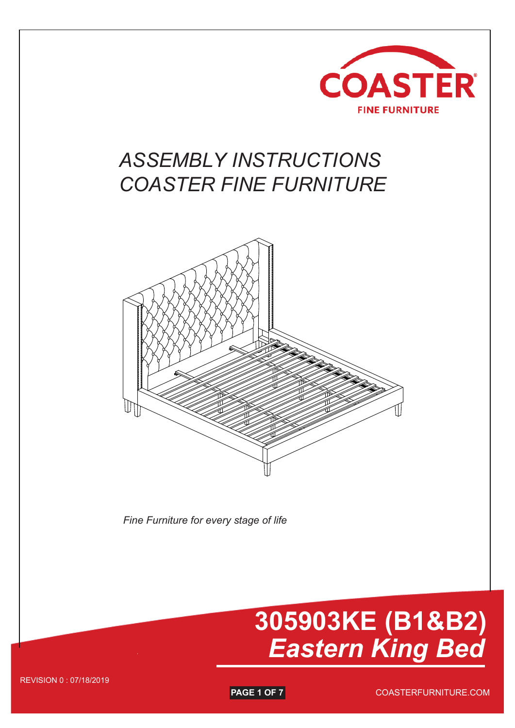

## *ASSEMBLY INSTRUCTIONS COASTER FINE FURNITURE*



*Fine Furniture for every stage of life*

# **305903KE (B1&B2)** *Eastern King Bed*

REVISION 0 : 07/18/2019

**PAGE 1 OF 7** 

COASTERFURNITURE.COM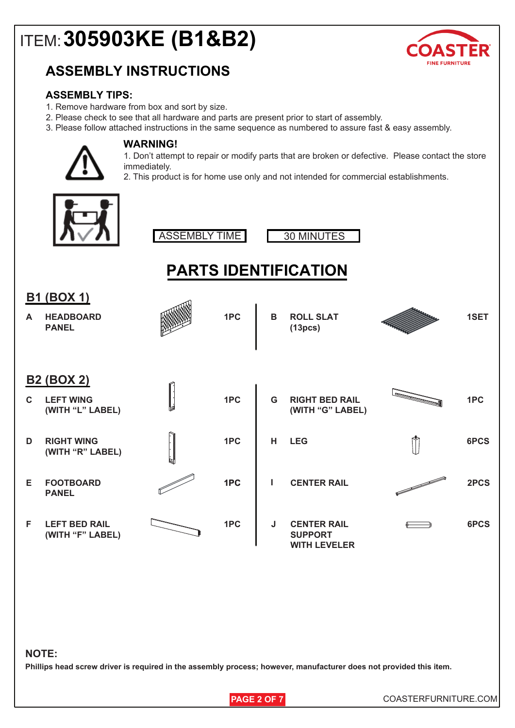# ITEM:**305903KE (B1&B2)**

## **ASSEMBLY INSTRUCTIONS**



### **ASSEMBLY TIPS:**

- 1. Remove hardware from box and sort by size.
- 2. Please check to see that all hardware and parts are present prior to start of assembly.
- 3. Please follow attached instructions in the same sequence as numbered to assure fast & easy assembly.



#### **WARNING!**

1. Don't attempt to repair or modify parts that are broken or defective. Please contact the store immediately.

2. This product is for home use only and not intended for commercial establishments.







#### **PARTS IDENTIFICATION HEADBOARD A 1PC ROLL SLAT PANEL (13pcs) B ROLL SLAT** *<i>B B* **1SET B1 (BOX 1) LEFT WING (WITH "L" LABEL) C RIGHT WING (WITH "R" LABEL) D FOOTBOARD PANEL 1PC 1PC 1PC CENTER RAIL 2PCS G RIGHT BED RAIL (WITH "G" LABEL) H LEG 1PC 6PCS E LEFT BED RAIL (WITH "F" LABEL) F** 1PC | J CENTER RAIL  $\qquad \qquad \Longleftrightarrow$  6PCS **SUPPORT WITH LEVELER I B2 (BOX 2)**

#### **NOTE:**

**Phillips head screw driver is required in the assembly process; however, manufacturer does not provided this item.**

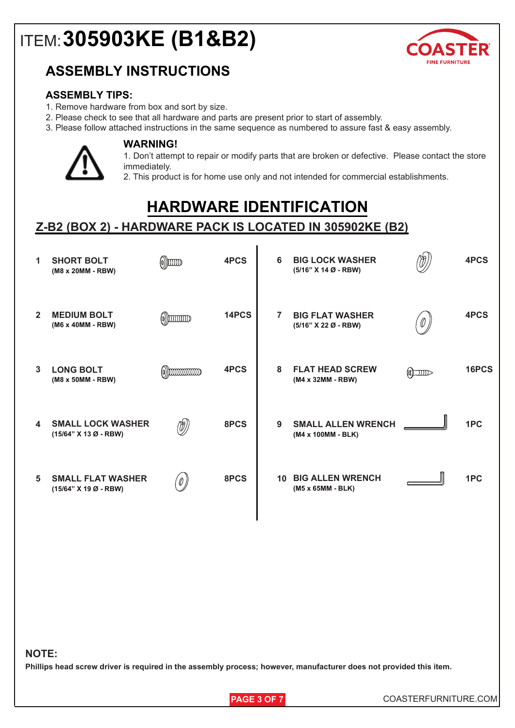## ITEM:**305903KE (B1&B2)**



### **ASSEMBLY INSTRUCTIONS**

### **ASSEMBLY TIPS:**

- 1. Remove hardware from box and sort by size.
- 2. Please check to see that all hardware and parts are present prior to start of assembly.
- 3. Please follow attached instructions in the same sequence as numbered to assure fast & easy assembly.



#### **WARNING!**

1. Don't attempt to repair or modify parts that are broken or defective. Please contact the store immediately.

2. This product is for home use only and not intended for commercial establishments.

## **HARDWARE IDENTIFICATION**

### **Z-B2 (BOX 2) - HARDWARE PACK IS LOCATED IN 305902KE (B2)**

| 1                | <b>SHORT BOLT</b><br>(M8 x 20MM - RBW)            | $\scriptstyle\textcircled{\scriptsize{0}}$ )) $\scriptstyle\text{000}$ | 4PCS  | 6  | <b>BIG LOCK WASHER</b><br>$(5/16" X 14 Ø - RBW)$ |                  | 4PCS  |
|------------------|---------------------------------------------------|------------------------------------------------------------------------|-------|----|--------------------------------------------------|------------------|-------|
| $\overline{2}$   | <b>MEDIUM BOLT</b><br>(M6 x 40MM - RBW)           | $\omega$ ) $\omega$                                                    | 14PCS | 7  | <b>BIG FLAT WASHER</b><br>(5/16" X 22 Ø - RBW)   | 0                | 4PCS  |
| 3                | <b>LONG BOLT</b><br>(M8 x 50MM - RBW)             | $\omega$ ))                                                            | 4PCS  | 8  | <b>FLAT HEAD SCREW</b><br>(M4 x 32MM - RBW)      | $\sum_{i=1}^{n}$ | 16PCS |
| $\blacktriangle$ | <b>SMALL LOCK WASHER</b><br>(15/64" X 13 Ø - RBW) | (d)                                                                    | 8PCS  | 9  | <b>SMALL ALLEN WRENCH</b><br>(M4 x 100MM - BLK)  |                  | 1PC   |
| 5                | <b>SMALL FLAT WASHER</b><br>(15/64" X 19 Ø - RBW) | '0 )                                                                   | 8PCS  | 10 | <b>BIG ALLEN WRENCH</b><br>(M5 x 65MM - BLK)     |                  | 1PC   |

#### **NOTE:**

**Phillips head screw driver is required in the assembly process; however, manufacturer does not provided this item.**

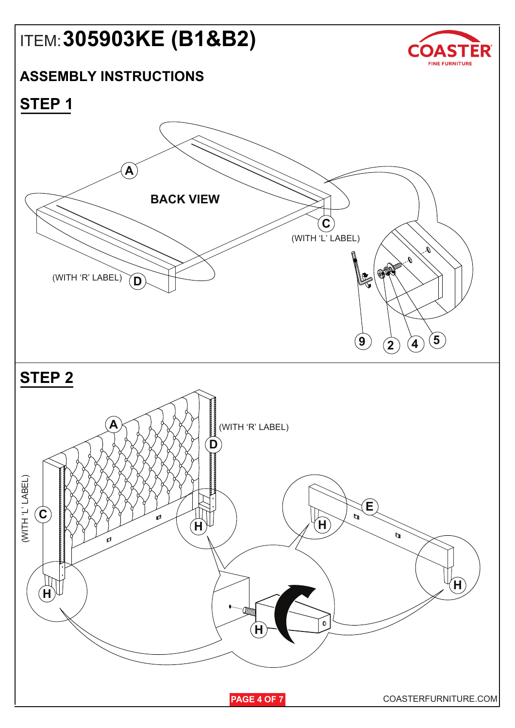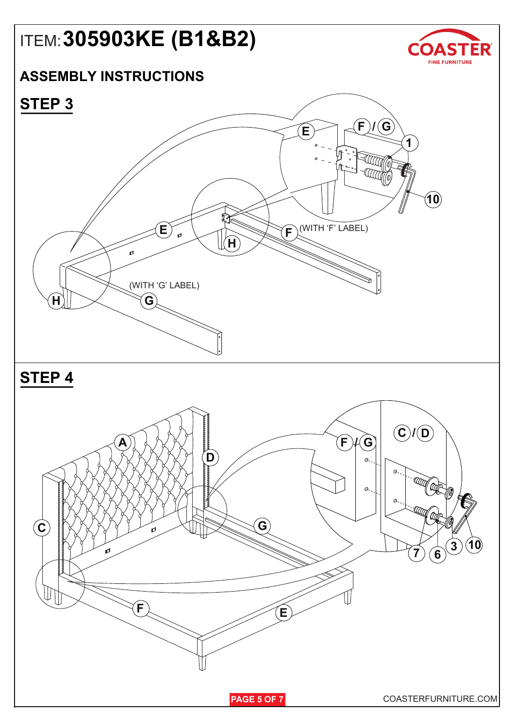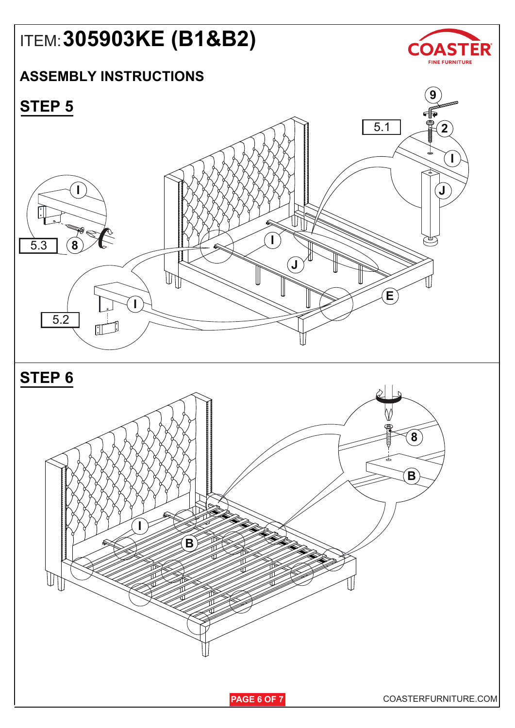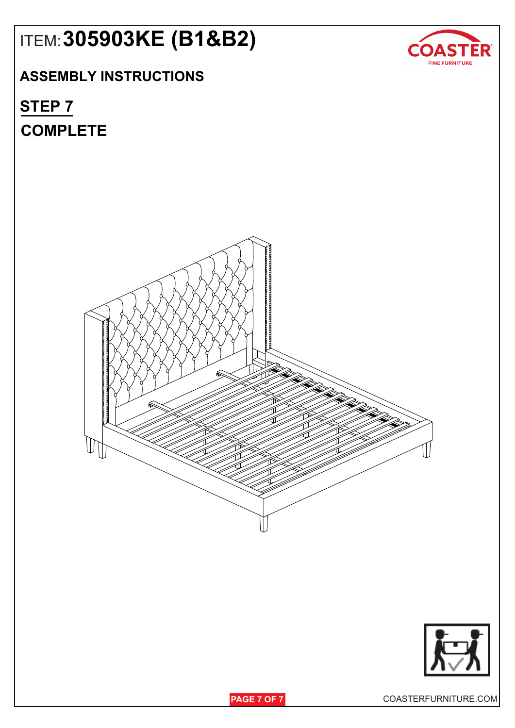## ITEM:**305903KE (B1&B2)**

## **ASSEMBLY INSTRUCTIONS**

## **COMPLETE STEP 7**